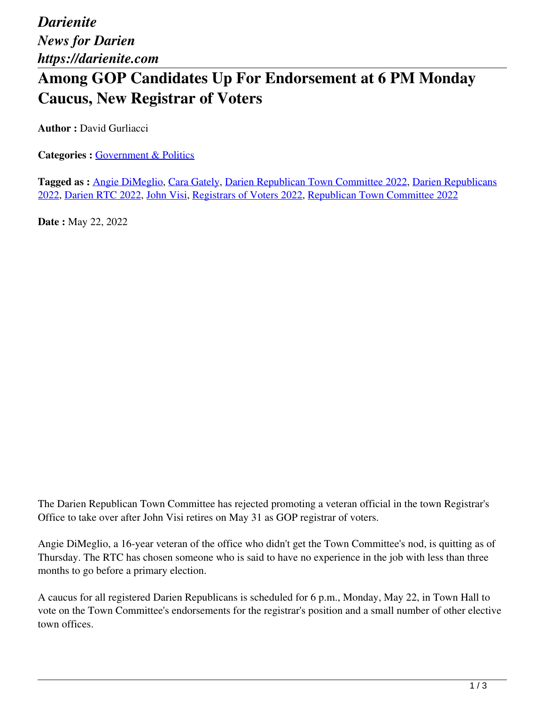## **Among GOP Candidates Up For Endorsement at 6 PM Monday Caucus, New Registrar of Voters**

**Author :** David Gurliacci

**Categories : [Government & Politics](https://darienite.com/category/news/government-politics)** 

**Tagged as :** Angie DiMeglio, Cara Gately, Darien Republican Town Committee 2022, Darien Republicans 2022, Darien RTC 2022, John Visi, Registrars of Voters 2022, Republican Town Committee 2022

**Date :** May 22, 2022

The Darien Republican Town Committee has rejected promoting a veteran official in the town Registrar's Office to take over after John Visi retires on May 31 as GOP registrar of voters.

Angie DiMeglio, a 16-year veteran of the office who didn't get the Town Committee's nod, is quitting as of Thursday. The RTC has chosen someone who is said to have no experience in the job with less than three months to go before a primary election.

A caucus for all registered Darien Republicans is scheduled for 6 p.m., Monday, May 22, in Town Hall to vote on the Town Committee's endorsements for the registrar's position and a small number of other elective town offices.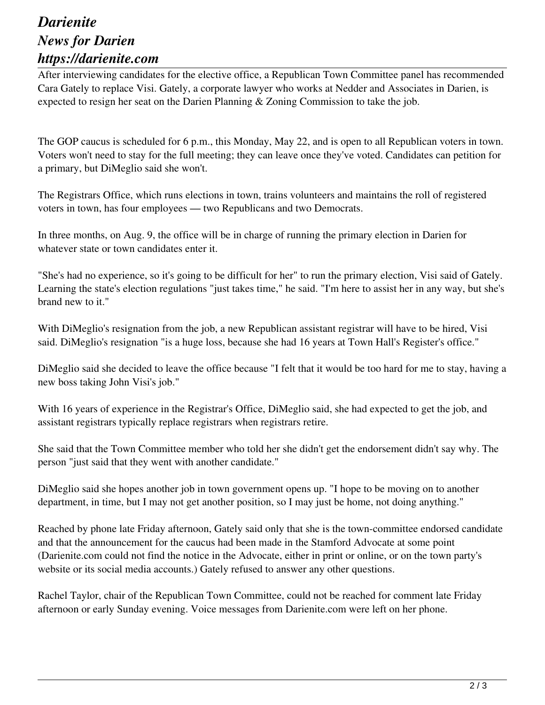## *Darienite News for Darien https://darienite.com*

After interviewing candidates for the elective office, a Republican Town Committee panel has recommended Cara Gately to replace Visi. Gately, a corporate lawyer who works at Nedder and Associates in Darien, is expected to resign her seat on the Darien Planning & Zoning Commission to take the job.

The GOP caucus is scheduled for 6 p.m., this Monday, May 22, and is open to all Republican voters in town. Voters won't need to stay for the full meeting; they can leave once they've voted. Candidates can petition for a primary, but DiMeglio said she won't.

The Registrars Office, which runs elections in town, trains volunteers and maintains the roll of registered voters in town, has four employees — two Republicans and two Democrats.

In three months, on Aug. 9, the office will be in charge of running the primary election in Darien for whatever state or town candidates enter it.

"She's had no experience, so it's going to be difficult for her" to run the primary election, Visi said of Gately. Learning the state's election regulations "just takes time," he said. "I'm here to assist her in any way, but she's brand new to it."

With DiMeglio's resignation from the job, a new Republican assistant registrar will have to be hired, Visi said. DiMeglio's resignation "is a huge loss, because she had 16 years at Town Hall's Register's office."

DiMeglio said she decided to leave the office because "I felt that it would be too hard for me to stay, having a new boss taking John Visi's job."

With 16 years of experience in the Registrar's Office, DiMeglio said, she had expected to get the job, and assistant registrars typically replace registrars when registrars retire.

She said that the Town Committee member who told her she didn't get the endorsement didn't say why. The person "just said that they went with another candidate."

DiMeglio said she hopes another job in town government opens up. "I hope to be moving on to another department, in time, but I may not get another position, so I may just be home, not doing anything."

Reached by phone late Friday afternoon, Gately said only that she is the town-committee endorsed candidate and that the announcement for the caucus had been made in the Stamford Advocate at some point (Darienite.com could not find the notice in the Advocate, either in print or online, or on the town party's website or its social media accounts.) Gately refused to answer any other questions.

Rachel Taylor, chair of the Republican Town Committee, could not be reached for comment late Friday afternoon or early Sunday evening. Voice messages from Darienite.com were left on her phone.